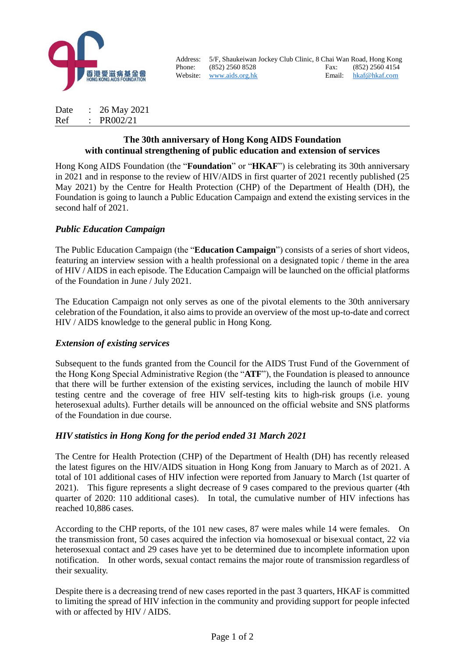

Address: 5/F, Shaukeiwan Jockey Club Clinic, 8 Chai Wan Road, Hong Kong Phone: (852) 2560 8528 Fax: (852) 2560 4154 Website: [www.aids.org.hk](http://www.aids.org.hk/) Email: [hkaf@hkaf.com](mailto:hkaf@hkaf.com)

Date : 26 May 2021 Ref : PR002/21

### **The 30th anniversary of Hong Kong AIDS Foundation with continual strengthening of public education and extension of services**

Hong Kong AIDS Foundation (the "**Foundation**" or "**HKAF**") is celebrating its 30th anniversary in 2021 and in response to the review of HIV/AIDS in first quarter of 2021 recently published (25 May 2021) by the Centre for Health Protection (CHP) of the Department of Health (DH), the Foundation is going to launch a Public Education Campaign and extend the existing services in the second half of 2021.

## *Public Education Campaign*

The Public Education Campaign (the "**Education Campaign**") consists of a series of short videos, featuring an interview session with a health professional on a designated topic / theme in the area of HIV / AIDS in each episode. The Education Campaign will be launched on the official platforms of the Foundation in June / July 2021.

The Education Campaign not only serves as one of the pivotal elements to the 30th anniversary celebration of the Foundation, it also aims to provide an overview of the most up-to-date and correct HIV / AIDS knowledge to the general public in Hong Kong.

#### *Extension of existing services*

Subsequent to the funds granted from the Council for the AIDS Trust Fund of the Government of the Hong Kong Special Administrative Region (the "**ATF**"), the Foundation is pleased to announce that there will be further extension of the existing services, including the launch of mobile HIV testing centre and the coverage of free HIV self-testing kits to high-risk groups (i.e. young heterosexual adults). Further details will be announced on the official website and SNS platforms of the Foundation in due course.

#### *HIV statistics in Hong Kong for the period ended 31 March 2021*

The Centre for Health Protection (CHP) of the Department of Health (DH) has recently released the latest figures on the HIV/AIDS situation in Hong Kong from January to March as of 2021. A total of 101 additional cases of HIV infection were reported from January to March (1st quarter of 2021). This figure represents a slight decrease of 9 cases compared to the previous quarter (4th quarter of 2020: 110 additional cases). In total, the cumulative number of HIV infections has reached 10,886 cases.

According to the CHP reports, of the 101 new cases, 87 were males while 14 were females. On the transmission front, 50 cases acquired the infection via homosexual or bisexual contact, 22 via heterosexual contact and 29 cases have yet to be determined due to incomplete information upon notification. In other words, sexual contact remains the major route of transmission regardless of their sexuality.

Despite there is a decreasing trend of new cases reported in the past 3 quarters, HKAF is committed to limiting the spread of HIV infection in the community and providing support for people infected with or affected by HIV / AIDS.